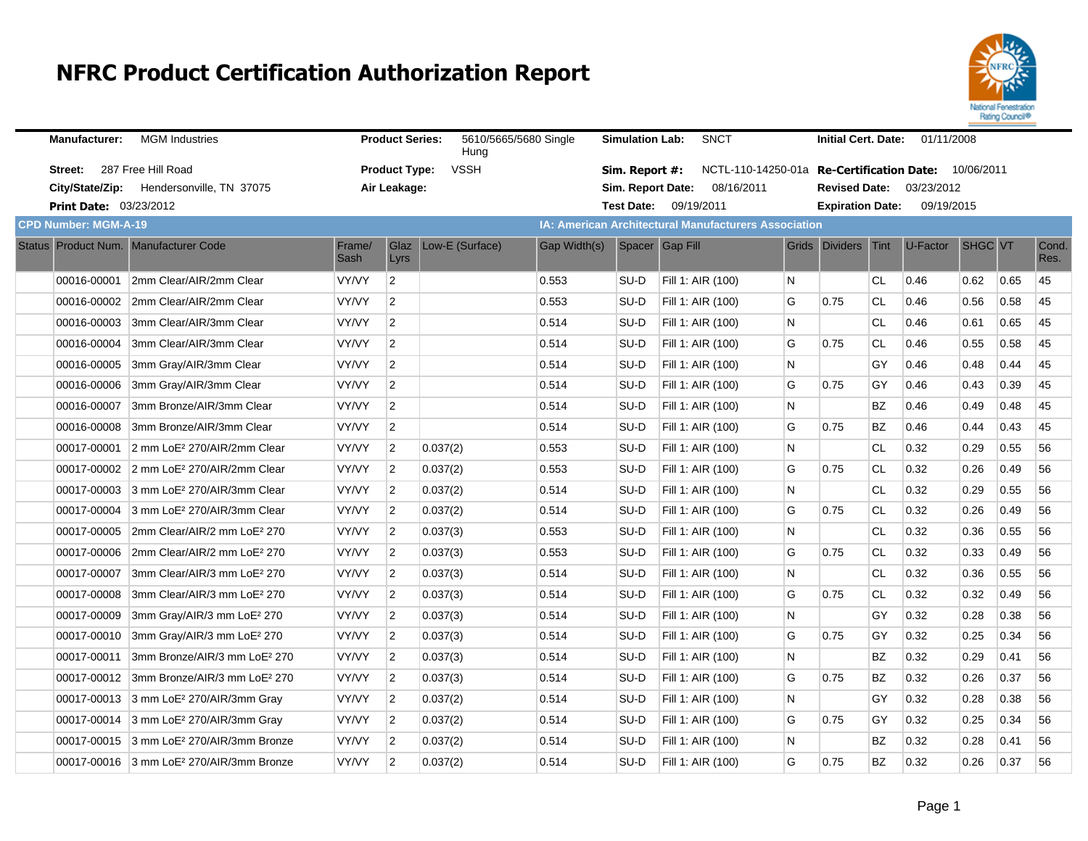

| <b>Manufacturer:</b>          | <b>MGM Industries</b>                                |                | <b>Product Series:</b> | 5610/5665/5680 Single<br>Hung |              | <b>Simulation Lab:</b> | <b>SNCT</b>                                                 |    | <b>Initial Cert. Date:</b> |           | 01/11/2008 |            |      |               |
|-------------------------------|------------------------------------------------------|----------------|------------------------|-------------------------------|--------------|------------------------|-------------------------------------------------------------|----|----------------------------|-----------|------------|------------|------|---------------|
| Street:                       | 287 Free Hill Road                                   |                | <b>Product Type:</b>   | <b>VSSH</b>                   |              | Sim. Report #:         | NCTL-110-14250-01a Re-Certification Date:                   |    |                            |           |            | 10/06/2011 |      |               |
|                               | City/State/Zip: Hendersonville, TN 37075             |                | Air Leakage:           |                               |              | Sim. Report Date:      | 08/16/2011                                                  |    | <b>Revised Date:</b>       |           | 03/23/2012 |            |      |               |
| <b>Print Date: 03/23/2012</b> |                                                      |                |                        |                               |              |                        | Test Date: 09/19/2011                                       |    | <b>Expiration Date:</b>    |           | 09/19/2015 |            |      |               |
| <b>CPD Number: MGM-A-19</b>   |                                                      |                |                        |                               |              |                        | <b>IA: American Architectural Manufacturers Association</b> |    |                            |           |            |            |      |               |
|                               | Status Product Num. Manufacturer Code                | Frame/<br>Sash | Glaz<br>Lyrs           | Low-E (Surface)               | Gap Width(s) |                        | Spacer Gap Fill                                             |    | Grids Dividers Tint        |           | U-Factor   | SHGC VT    |      | Cond.<br>Res. |
| 00016-00001                   | 2mm Clear/AIR/2mm Clear                              | VY/VY          | $\overline{2}$         |                               | 0.553        | SU-D                   | Fill 1: AIR (100)                                           | N. |                            | CL.       | 0.46       | 0.62       | 0.65 | 45            |
| 00016-00002                   | 2mm Clear/AIR/2mm Clear                              | VY/VY          | $\overline{2}$         |                               | 0.553        | SU-D                   | Fill 1: AIR (100)                                           | G  | 0.75                       | CL        | 0.46       | 0.56       | 0.58 | 45            |
| 00016-00003                   | 3mm Clear/AIR/3mm Clear                              | VY/VY          | 2                      |                               | 0.514        | SU-D                   | Fill 1: AIR (100)                                           | N  |                            | <b>CL</b> | 0.46       | 0.61       | 0.65 | 45            |
| 00016-00004                   | 3mm Clear/AIR/3mm Clear                              | VY/VY          | 2                      |                               | 0.514        | SU-D                   | Fill 1: AIR (100)                                           | G  | 0.75                       | CL        | 0.46       | 0.55       | 0.58 | 45            |
| 00016-00005                   | 3mm Gray/AIR/3mm Clear                               | VY/VY          | 2                      |                               | 0.514        | SU-D                   | Fill 1: AIR (100)                                           | N  |                            | GY        | 0.46       | 0.48       | 0.44 | 45            |
| 00016-00006                   | 3mm Gray/AIR/3mm Clear                               | VY/VY          | $\overline{2}$         |                               | 0.514        | SU-D                   | Fill 1: AIR (100)                                           | G  | 0.75                       | GY        | 0.46       | 0.43       | 0.39 | 45            |
| 00016-00007                   | 3mm Bronze/AIR/3mm Clear                             | VY/VY          | $\overline{c}$         |                               | 0.514        | SU-D                   | Fill 1: AIR (100)                                           | N  |                            | <b>BZ</b> | 0.46       | 0.49       | 0.48 | 45            |
| 00016-00008                   | 3mm Bronze/AIR/3mm Clear                             | VY/VY          | $\overline{2}$         |                               | 0.514        | SU-D                   | Fill 1: AIR (100)                                           | G  | 0.75                       | <b>BZ</b> | 0.46       | 0.44       | 0.43 | 45            |
| 00017-00001                   | 2 mm LoE <sup>2</sup> 270/AIR/2mm Clear              | VY/VY          | $\overline{2}$         | 0.037(2)                      | 0.553        | SU-D                   | Fill 1: AIR (100)                                           | N  |                            | <b>CL</b> | 0.32       | 0.29       | 0.55 | 56            |
|                               | 00017-00002 2 mm LoE <sup>2</sup> 270/AIR/2mm Clear  | VY/VY          | $\overline{2}$         | 0.037(2)                      | 0.553        | SU-D                   | Fill 1: AIR (100)                                           | G  | 0.75                       | <b>CL</b> | 0.32       | 0.26       | 0.49 | 56            |
|                               | 00017-00003 3 mm LoE <sup>2</sup> 270/AIR/3mm Clear  | VY/VY          | 2                      | 0.037(2)                      | 0.514        | SU-D                   | Fill 1: AIR (100)                                           | N  |                            | <b>CL</b> | 0.32       | 0.29       | 0.55 | 56            |
| 00017-00004                   | 3 mm LoE <sup>2</sup> 270/AIR/3mm Clear              | VY/VY          | $\overline{2}$         | 0.037(2)                      | 0.514        | SU-D                   | Fill 1: AIR (100)                                           | G  | 0.75                       | CL        | 0.32       | 0.26       | 0.49 | 56            |
| 00017-00005                   | 2mm Clear/AIR/2 mm LoE <sup>2</sup> 270              | VY/VY          | 2                      | 0.037(3)                      | 0.553        | SU-D                   | Fill 1: AIR (100)                                           | N  |                            | <b>CL</b> | 0.32       | 0.36       | 0.55 | 56            |
|                               | 00017-00006 2mm Clear/AIR/2 mm LoE <sup>2</sup> 270  | VY/VY          | $\overline{2}$         | 0.037(3)                      | 0.553        | SU-D                   | Fill 1: AIR (100)                                           | G  | 0.75                       | CL        | 0.32       | 0.33       | 0.49 | 56            |
| 00017-00007                   | 3mm Clear/AIR/3 mm LoE <sup>2</sup> 270              | VY/VY          | $\overline{2}$         | 0.037(3)                      | 0.514        | SU-D                   | Fill 1: AIR (100)                                           | N  |                            | <b>CL</b> | 0.32       | 0.36       | 0.55 | 56            |
| 00017-00008                   | 3mm Clear/AIR/3 mm LoE <sup>2</sup> 270              | VY/VY          | $\overline{2}$         | 0.037(3)                      | 0.514        | SU-D                   | Fill 1: AIR (100)                                           | G  | 0.75                       | <b>CL</b> | 0.32       | 0.32       | 0.49 | 56            |
| 00017-00009                   | 3mm Gray/AIR/3 mm LoE <sup>2</sup> 270               | VY/VY          | $\overline{2}$         | 0.037(3)                      | 0.514        | SU-D                   | Fill 1: AIR (100)                                           | N  |                            | GY        | 0.32       | 0.28       | 0.38 | 56            |
| 00017-00010                   | 3mm Gray/AIR/3 mm LoE <sup>2</sup> 270               | VY/VY          | $\overline{2}$         | 0.037(3)                      | 0.514        | SU-D                   | Fill 1: AIR (100)                                           | G  | 0.75                       | GY        | 0.32       | 0.25       | 0.34 | 56            |
| 00017-00011                   | 3mm Bronze/AIR/3 mm LoE <sup>2</sup> 270             | VY/VY          | $\overline{2}$         | 0.037(3)                      | 0.514        | SU-D                   | Fill 1: AIR (100)                                           | N  |                            | <b>BZ</b> | 0.32       | 0.29       | 0.41 | 56            |
| 00017-00012                   | 3mm Bronze/AIR/3 mm LoE <sup>2</sup> 270             | VY/VY          | $\overline{2}$         | 0.037(3)                      | 0.514        | SU-D                   | Fill 1: AIR (100)                                           | G  | 0.75                       | <b>BZ</b> | 0.32       | 0.26       | 0.37 | 56            |
|                               | 00017-00013 3 mm LoE <sup>2</sup> 270/AIR/3mm Gray   | VY/VY          | $\overline{2}$         | 0.037(2)                      | 0.514        | SU-D                   | Fill 1: AIR (100)                                           | N  |                            | GY        | 0.32       | 0.28       | 0.38 | 56            |
|                               | 00017-00014 3 mm LoE <sup>2</sup> 270/AIR/3mm Gray   | VY/VY          | $\overline{2}$         | 0.037(2)                      | 0.514        | SU-D                   | Fill 1: AIR (100)                                           | G  | 0.75                       | GY        | 0.32       | 0.25       | 0.34 | 56            |
|                               | 00017-00015 3 mm LoE <sup>2</sup> 270/AIR/3mm Bronze | VY/VY          | $\overline{2}$         | 0.037(2)                      | 0.514        | SU-D                   | Fill 1: AIR (100)                                           | N  |                            | <b>BZ</b> | 0.32       | 0.28       | 0.41 | 56            |
|                               | 00017-00016 3 mm LoE <sup>2</sup> 270/AIR/3mm Bronze | VY/VY          | $\overline{2}$         | 0.037(2)                      | 0.514        | SU-D                   | Fill 1: AIR (100)                                           | G  | 0.75                       | <b>BZ</b> | 0.32       | 0.26       | 0.37 | 56            |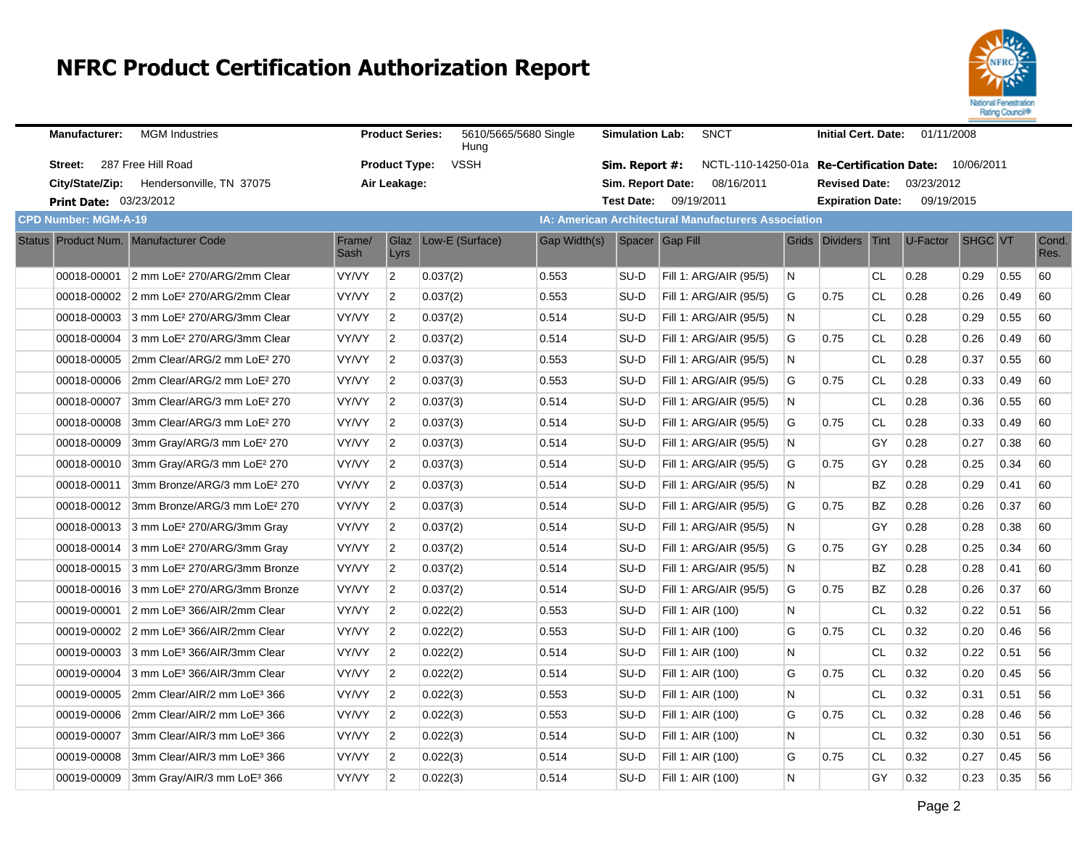

| <b>Manufacturer:</b>          | <b>MGM Industries</b>                               |                | <b>Product Series:</b> | 5610/5665/5680 Single<br>Huna |              | <b>Simulation Lab:</b> | <b>SNCT</b>                                          |    | <b>Initial Cert. Date:</b> |             | 01/11/2008                        |                |      |               |
|-------------------------------|-----------------------------------------------------|----------------|------------------------|-------------------------------|--------------|------------------------|------------------------------------------------------|----|----------------------------|-------------|-----------------------------------|----------------|------|---------------|
| Street:                       | 287 Free Hill Road                                  |                | <b>Product Type:</b>   | <b>VSSH</b>                   |              | Sim. Report #:         | NCTL-110-14250-01a                                   |    |                            |             | Re-Certification Date: 10/06/2011 |                |      |               |
|                               | City/State/Zip: Hendersonville, TN 37075            |                | Air Leakage:           |                               |              | Sim. Report Date:      | 08/16/2011                                           |    | <b>Revised Date:</b>       |             | 03/23/2012                        |                |      |               |
| <b>Print Date: 03/23/2012</b> |                                                     |                |                        |                               |              |                        | Test Date: 09/19/2011                                |    | <b>Expiration Date:</b>    |             | 09/19/2015                        |                |      |               |
| <b>CPD Number: MGM-A-19</b>   |                                                     |                |                        |                               |              |                        | IA: American Architectural Manufacturers Association |    |                            |             |                                   |                |      |               |
|                               | Status Product Num. Manufacturer Code               | Frame/<br>Sash | Glaz<br>Lyrs           | Low-E (Surface)               | Gap Width(s) |                        | Spacer Gap Fill                                      |    | Grids Dividers             | <b>Tint</b> | U-Factor                          | <b>SHGC VT</b> |      | Cond.<br>Res. |
|                               | 00018-00001 2 mm LoE <sup>2</sup> 270/ARG/2mm Clear | VY/VY          | $\overline{2}$         | 0.037(2)                      | 0.553        | SU-D                   | Fill 1: ARG/AIR (95/5)                               | N  |                            | <b>CL</b>   | 0.28                              | 0.29           | 0.55 | 60            |
|                               | 00018-00002 2 mm LoE <sup>2</sup> 270/ARG/2mm Clear | <b>VY/VY</b>   | $\overline{2}$         | 0.037(2)                      | 0.553        | SU-D                   | Fill 1: ARG/AIR (95/5)                               | G  | 0.75                       | <b>CL</b>   | 0.28                              | 0.26           | 0.49 | 60            |
|                               | 00018-00003 3 mm LoE <sup>2</sup> 270/ARG/3mm Clear | VY/VY          | $\overline{2}$         | 0.037(2)                      | 0.514        | SU-D                   | Fill 1: ARG/AIR (95/5)                               | N. |                            | <b>CL</b>   | 0.28                              | 0.29           | 0.55 | 60            |
| 00018-00004                   | 3 mm LoE <sup>2</sup> 270/ARG/3mm Clear             | VY/VY          | $\overline{2}$         | 0.037(2)                      | 0.514        | SU-D                   | Fill 1: ARG/AIR (95/5)                               | G  | 0.75                       | <b>CL</b>   | 0.28                              | 0.26           | 0.49 | 60            |
| 00018-00005                   | 2mm Clear/ARG/2 mm LoE <sup>2</sup> 270             | <b>VY/VY</b>   | $\overline{2}$         | 0.037(3)                      | 0.553        | SU-D                   | Fill 1: ARG/AIR (95/5)                               | N  |                            | <b>CL</b>   | 0.28                              | 0.37           | 0.55 | 60            |
| 00018-00006                   | 2mm Clear/ARG/2 mm LoE <sup>2</sup> 270             | VY/VY          | $\overline{2}$         | 0.037(3)                      | 0.553        | SU-D                   | Fill 1: ARG/AIR (95/5)                               | G  | 0.75                       | <b>CL</b>   | 0.28                              | 0.33           | 0.49 | 60            |
| 00018-00007                   | 3mm Clear/ARG/3 mm LoE <sup>2</sup> 270             | VY/VY          | $\overline{2}$         | 0.037(3)                      | 0.514        | SU-D                   | Fill 1: ARG/AIR (95/5)                               | N  |                            | <b>CL</b>   | 0.28                              | 0.36           | 0.55 | 60            |
| 00018-00008                   | 3mm Clear/ARG/3 mm LoE <sup>2</sup> 270             | <b>VY/VY</b>   | $\overline{2}$         | 0.037(3)                      | 0.514        | SU-D                   | Fill 1: ARG/AIR (95/5)                               | G  | 0.75                       | СL          | 0.28                              | 0.33           | 0.49 | 60            |
| 00018-00009                   | 3mm Gray/ARG/3 mm LoE <sup>2</sup> 270              | VY/VY          | $\overline{2}$         | 0.037(3)                      | 0.514        | SU-D                   | Fill 1: ARG/AIR (95/5)                               | N  |                            | GY          | 0.28                              | 0.27           | 0.38 | 60            |
| 00018-00010                   | 3mm Gray/ARG/3 mm LoE <sup>2</sup> 270              | VY/VY          | $\overline{2}$         | 0.037(3)                      | 0.514        | SU-D                   | Fill 1: ARG/AIR (95/5)                               | G  | 0.75                       | GY          | 0.28                              | 0.25           | 0.34 | 60            |
| 00018-00011                   | 3mm Bronze/ARG/3 mm LoE <sup>2</sup> 270            | <b>VY/VY</b>   | $\overline{2}$         | 0.037(3)                      | 0.514        | SU-D                   | Fill 1: ARG/AIR (95/5)                               | N  |                            | <b>BZ</b>   | 0.28                              | 0.29           | 0.41 | 60            |
| 00018-00012                   | 3mm Bronze/ARG/3 mm LoE <sup>2</sup> 270            | VY/VY          | $\overline{2}$         | 0.037(3)                      | 0.514        | SU-D                   | Fill 1: ARG/AIR (95/5)                               | G  | 0.75                       | <b>BZ</b>   | 0.28                              | 0.26           | 0.37 | 60            |
|                               | 00018-00013 3 mm LoE <sup>2</sup> 270/ARG/3mm Gray  | VY/VY          | $\overline{2}$         | 0.037(2)                      | 0.514        | SU-D                   | Fill 1: ARG/AIR (95/5)                               | N  |                            | GY          | 0.28                              | 0.28           | 0.38 | 60            |
| 00018-00014                   | 3 mm LoE <sup>2</sup> 270/ARG/3mm Gray              | <b>VY/VY</b>   | $\overline{2}$         | 0.037(2)                      | 0.514        | SU-D                   | Fill 1: ARG/AIR (95/5)                               | G  | 0.75                       | GY          | 0.28                              | 0.25           | 0.34 | 60            |
| 00018-00015                   | 3 mm LoE <sup>2</sup> 270/ARG/3mm Bronze            | VY/VY          | $\overline{2}$         | 0.037(2)                      | 0.514        | SU-D                   | Fill 1: ARG/AIR (95/5)                               | N  |                            | <b>BZ</b>   | 0.28                              | 0.28           | 0.41 | 60            |
| 00018-00016                   | 3 mm LoE <sup>2</sup> 270/ARG/3mm Bronze            | VY/VY          | $\overline{2}$         | 0.037(2)                      | 0.514        | SU-D                   | Fill 1: ARG/AIR (95/5)                               | G  | 0.75                       | BZ          | 0.28                              | 0.26           | 0.37 | 60            |
| 00019-00001                   | 2 mm LoE <sup>3</sup> 366/AIR/2mm Clear             | <b>VY/VY</b>   | $\overline{2}$         | 0.022(2)                      | 0.553        | SU-D                   | Fill 1: AIR (100)                                    | N  |                            | СL          | 0.32                              | 0.22           | 0.51 | 56            |
|                               | 00019-00002 2 mm LoE <sup>3</sup> 366/AIR/2mm Clear | VY/VY          | $\overline{2}$         | 0.022(2)                      | 0.553        | SU-D                   | Fill 1: AIR (100)                                    | G  | 0.75                       | <b>CL</b>   | 0.32                              | 0.20           | 0.46 | 56            |
| 00019-00003                   | 3 mm LoE <sup>3</sup> 366/AIR/3mm Clear             | VY/VY          | $\overline{2}$         | 0.022(2)                      | 0.514        | SU-D                   | Fill 1: AIR (100)                                    | N  |                            | <b>CL</b>   | 0.32                              | 0.22           | 0.51 | 56            |
| 00019-00004                   | 3 mm LoE <sup>3</sup> 366/AIR/3mm Clear             | VY/VY          | $\overline{2}$         | 0.022(2)                      | 0.514        | SU-D                   | Fill 1: AIR (100)                                    | G  | 0.75                       | <b>CL</b>   | 0.32                              | 0.20           | 0.45 | 56            |
| 00019-00005                   | 2mm Clear/AIR/2 mm LoE <sup>3</sup> 366             | <b>VY/VY</b>   | $\overline{2}$         | 0.022(3)                      | 0.553        | SU-D                   | Fill 1: AIR (100)                                    | N  |                            | <b>CL</b>   | 0.32                              | 0.31           | 0.51 | 56            |
| 00019-00006                   | 2mm Clear/AIR/2 mm LoE <sup>3</sup> 366             | VY/VY          | $\overline{2}$         | 0.022(3)                      | 0.553        | SU-D                   | Fill 1: AIR (100)                                    | G  | 0.75                       | <b>CL</b>   | 0.32                              | 0.28           | 0.46 | 56            |
| 00019-00007                   | 3mm Clear/AIR/3 mm LoE <sup>3</sup> 366             | VY/VY          | $\overline{2}$         | 0.022(3)                      | 0.514        | SU-D                   | Fill 1: AIR (100)                                    | N  |                            | <b>CL</b>   | 0.32                              | 0.30           | 0.51 | 56            |
| 00019-00008                   | 3mm Clear/AIR/3 mm LoE <sup>3</sup> 366             | VY/VY          | $\overline{2}$         | 0.022(3)                      | 0.514        | SU-D                   | Fill 1: AIR (100)                                    | G  | 0.75                       | <b>CL</b>   | 0.32                              | 0.27           | 0.45 | 56            |
| 00019-00009                   | 3mm Gray/AIR/3 mm LoE <sup>3</sup> 366              | VY/VY          | $\overline{2}$         | 0.022(3)                      | 0.514        | SU-D                   | Fill 1: AIR (100)                                    | N  |                            | GY          | 0.32                              | 0.23           | 0.35 | 56            |
|                               |                                                     |                |                        |                               |              |                        |                                                      |    |                            |             |                                   |                |      |               |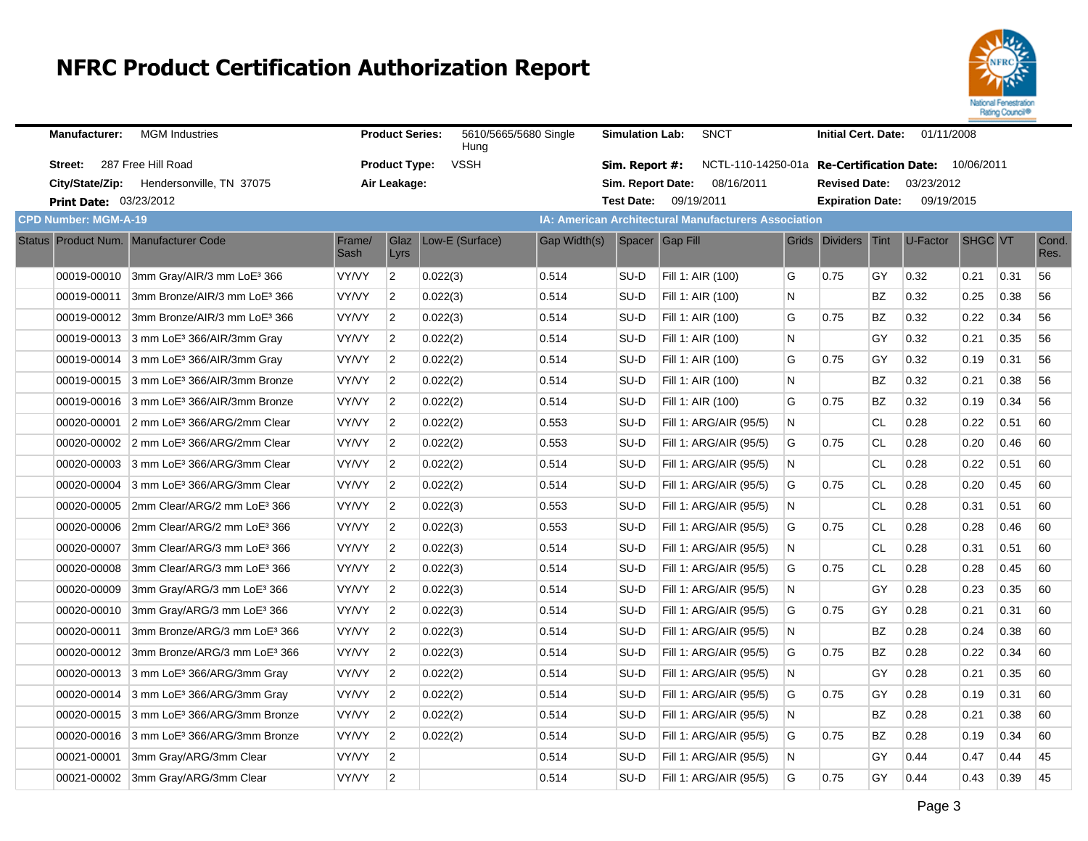

| <b>Manufacturer:</b>                  | <b>MGM</b> Industries                                |                | <b>Product Series:</b> | 5610/5665/5680 Single<br>Huna |              | <b>Simulation Lab:</b> | <b>SNCT</b>                                                 |   | <b>Initial Cert. Date:</b> |           | 01/11/2008 |                |      |               |
|---------------------------------------|------------------------------------------------------|----------------|------------------------|-------------------------------|--------------|------------------------|-------------------------------------------------------------|---|----------------------------|-----------|------------|----------------|------|---------------|
| Street:                               | 287 Free Hill Road                                   |                | <b>Product Type:</b>   | <b>VSSH</b>                   |              | Sim. Report #:         | NCTL-110-14250-01a Re-Certification Date: 10/06/2011        |   |                            |           |            |                |      |               |
|                                       | City/State/Zip: Hendersonville, TN 37075             |                | Air Leakage:           |                               |              | Sim. Report Date:      | 08/16/2011                                                  |   | <b>Revised Date:</b>       |           | 03/23/2012 |                |      |               |
| <b>Print Date: 03/23/2012</b>         |                                                      |                |                        |                               |              |                        | Test Date: 09/19/2011                                       |   | <b>Expiration Date:</b>    |           | 09/19/2015 |                |      |               |
| <b>CPD Number: MGM-A-19</b>           |                                                      |                |                        |                               |              |                        | <b>IA: American Architectural Manufacturers Association</b> |   |                            |           |            |                |      |               |
| Status Product Num. Manufacturer Code |                                                      | Frame/<br>Sash | Glaz<br>Lyrs           | Low-E (Surface)               | Gap Width(s) |                        | Spacer Gap Fill                                             |   | Grids Dividers             | Tint      | U-Factor   | <b>SHGC VT</b> |      | Cond.<br>Res. |
|                                       | 00019-00010 3mm Gray/AIR/3 mm LoE <sup>3</sup> 366   | VY/VY          | $\overline{2}$         | 0.022(3)                      | 0.514        | SU-D                   | Fill 1: AIR (100)                                           | G | 0.75                       | GY        | 0.32       | 0.21           | 0.31 | 56            |
| 00019-00011                           | 3mm Bronze/AIR/3 mm LoE3 366                         | VY/VY          | $\overline{2}$         | 0.022(3)                      | 0.514        | SU-D                   | Fill 1: AIR (100)                                           | N |                            | <b>BZ</b> | 0.32       | 0.25           | 0.38 | 56            |
|                                       | 00019-00012 3mm Bronze/AIR/3 mm LoE <sup>3</sup> 366 | VY/VY          | $\overline{2}$         | 0.022(3)                      | 0.514        | SU-D                   | Fill 1: AIR (100)                                           | G | 0.75                       | <b>BZ</b> | 0.32       | 0.22           | 0.34 | 56            |
|                                       | 00019-00013 3 mm LoE <sup>3</sup> 366/AIR/3mm Gray   | VY/VY          | $\overline{2}$         | 0.022(2)                      | 0.514        | SU-D                   | Fill 1: AIR (100)                                           | N |                            | GY        | 0.32       | 0.21           | 0.35 | 56            |
|                                       | 00019-00014 3 mm LoE <sup>3</sup> 366/AIR/3mm Gray   | VY/VY          | $\overline{2}$         | 0.022(2)                      | 0.514        | SU-D                   | Fill 1: AIR (100)                                           | G | 0.75                       | GY        | 0.32       | 0.19           | 0.31 | 56            |
|                                       | 00019-00015 3 mm LoE <sup>3</sup> 366/AIR/3mm Bronze | VY/VY          | $\overline{2}$         | 0.022(2)                      | 0.514        | SU-D                   | Fill 1: AIR (100)                                           | N |                            | <b>BZ</b> | 0.32       | 0.21           | 0.38 | 56            |
|                                       | 00019-00016 3 mm LoE <sup>3</sup> 366/AIR/3mm Bronze | VY/VY          | $\overline{2}$         | 0.022(2)                      | 0.514        | SU-D                   | Fill 1: AIR (100)                                           | G | 0.75                       | <b>BZ</b> | 0.32       | 0.19           | 0.34 | 56            |
| 00020-00001                           | 2 mm LoE <sup>3</sup> 366/ARG/2mm Clear              | VY/VY          | $\overline{2}$         | 0.022(2)                      | 0.553        | SU-D                   | Fill 1: ARG/AIR (95/5)                                      | N |                            | <b>CL</b> | 0.28       | 0.22           | 0.51 | 60            |
|                                       | 00020-00002 2 mm LoE <sup>3</sup> 366/ARG/2mm Clear  | VY/VY          | $\overline{2}$         | 0.022(2)                      | 0.553        | SU-D                   | Fill 1: ARG/AIR (95/5)                                      | G | 0.75                       | <b>CL</b> | 0.28       | 0.20           | 0.46 | 60            |
|                                       | 00020-00003 3 mm LoE <sup>3</sup> 366/ARG/3mm Clear  | VY/VY          | 2                      | 0.022(2)                      | 0.514        | SU-D                   | Fill 1: ARG/AIR (95/5)                                      | N |                            | <b>CL</b> | 0.28       | 0.22           | 0.51 | 60            |
| 00020-00004                           | 3 mm LoE <sup>3</sup> 366/ARG/3mm Clear              | VY/VY          | $\overline{2}$         | 0.022(2)                      | 0.514        | SU-D                   | Fill 1: ARG/AIR (95/5)                                      | G | 0.75                       | <b>CL</b> | 0.28       | 0.20           | 0.45 | 60            |
|                                       | 00020-00005 2mm Clear/ARG/2 mm LoE3 366              | VY/VY          | $\overline{2}$         | 0.022(3)                      | 0.553        | SU-D                   | Fill 1: ARG/AIR (95/5)                                      | N |                            | <b>CL</b> | 0.28       | 0.31           | 0.51 | 60            |
| 00020-00006                           | 2mm Clear/ARG/2 mm LoE <sup>3</sup> 366              | VY/VY          | $\overline{2}$         | 0.022(3)                      | 0.553        | SU-D                   | Fill 1: ARG/AIR (95/5)                                      | G | 0.75                       | <b>CL</b> | 0.28       | 0.28           | 0.46 | 60            |
| 00020-00007                           | 3mm Clear/ARG/3 mm LoE <sup>3</sup> 366              | VY/VY          | $\overline{2}$         | 0.022(3)                      | 0.514        | SU-D                   | Fill 1: ARG/AIR (95/5)                                      | N |                            | <b>CL</b> | 0.28       | 0.31           | 0.51 | 60            |
| 00020-00008                           | 3mm Clear/ARG/3 mm LoE <sup>3</sup> 366              | <b>VY/VY</b>   | $\overline{2}$         | 0.022(3)                      | 0.514        | SU-D                   | Fill 1: ARG/AIR (95/5)                                      | G | 0.75                       | <b>CL</b> | 0.28       | 0.28           | 0.45 | 60            |
| 00020-00009                           | 3mm Gray/ARG/3 mm LoE <sup>3</sup> 366               | VY/VY          | $\overline{2}$         | 0.022(3)                      | 0.514        | SU-D                   | Fill 1: ARG/AIR (95/5)                                      | N |                            | GY        | 0.28       | 0.23           | 0.35 | 60            |
| 00020-00010                           | 3mm Gray/ARG/3 mm LoE <sup>3</sup> 366               | VY/VY          | 2                      | 0.022(3)                      | 0.514        | SU-D                   | Fill 1: ARG/AIR (95/5)                                      | G | 0.75                       | GY        | 0.28       | 0.21           | 0.31 | 60            |
| 00020-00011                           | 3mm Bronze/ARG/3 mm LoE3 366                         | <b>VY/VY</b>   | $\overline{2}$         | 0.022(3)                      | 0.514        | SU-D                   | Fill 1: ARG/AIR (95/5)                                      | N |                            | <b>BZ</b> | 0.28       | 0.24           | 0.38 | 60            |
|                                       | 00020-00012 3mm Bronze/ARG/3 mm LoE3 366             | VY/VY          | $\overline{2}$         | 0.022(3)                      | 0.514        | SU-D                   | Fill 1: ARG/AIR (95/5)                                      | G | 0.75                       | <b>BZ</b> | 0.28       | 0.22           | 0.34 | 60            |
|                                       | 00020-00013 3 mm LoE <sup>3</sup> 366/ARG/3mm Gray   | VY/VY          | $\overline{2}$         | 0.022(2)                      | 0.514        | SU-D                   | Fill 1: ARG/AIR (95/5)                                      | N |                            | GY        | 0.28       | 0.21           | 0.35 | 60            |
|                                       | 00020-00014 3 mm LoE <sup>3</sup> 366/ARG/3mm Gray   | <b>VY/VY</b>   | $\overline{2}$         | 0.022(2)                      | 0.514        | SU-D                   | Fill 1: ARG/AIR (95/5)                                      | G | 0.75                       | GY        | 0.28       | 0.19           | 0.31 | 60            |
|                                       | 00020-00015 3 mm LoE <sup>3</sup> 366/ARG/3mm Bronze | VY/VY          | $\overline{2}$         | 0.022(2)                      | 0.514        | SU-D                   | Fill 1: ARG/AIR (95/5)                                      | N |                            | BZ        | 0.28       | 0.21           | 0.38 | 60            |
|                                       | 00020-00016 3 mm LoE <sup>3</sup> 366/ARG/3mm Bronze | VY/VY          | $\overline{2}$         | 0.022(2)                      | 0.514        | SU-D                   | Fill 1: ARG/AIR (95/5)                                      | G | 0.75                       | BZ        | 0.28       | 0.19           | 0.34 | 60            |
| 00021-00001                           | 3mm Gray/ARG/3mm Clear                               | VY/VY          | $\overline{2}$         |                               | 0.514        | SU-D                   | Fill 1: ARG/AIR (95/5)                                      | N |                            | GY        | 0.44       | 0.47           | 0.44 | 45            |
|                                       | 00021-00002 3mm Gray/ARG/3mm Clear                   | VY/VY          | $\overline{2}$         |                               | 0.514        | SU-D                   | Fill 1: ARG/AIR (95/5)                                      | G | 0.75                       | GY        | 0.44       | 0.43           | 0.39 | 45            |
|                                       |                                                      |                |                        |                               |              |                        |                                                             |   |                            |           |            |                |      |               |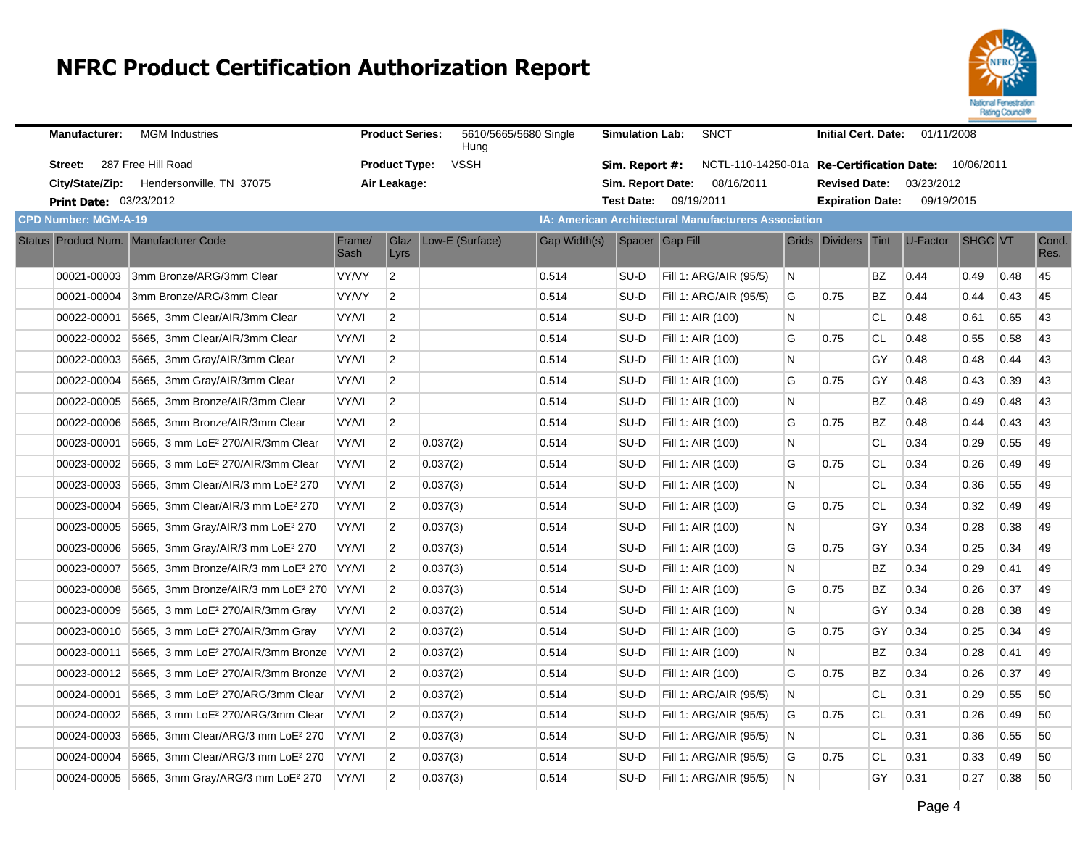

| <b>Manufacturer:</b>          | <b>MGM Industries</b>                          |                | <b>Product Series:</b> | 5610/5665/5680 Single<br>Hung |              | <b>Simulation Lab:</b> | <b>SNCT</b>                                          |   | <b>Initial Cert. Date:</b> |             | 01/11/2008 |         |      |               |
|-------------------------------|------------------------------------------------|----------------|------------------------|-------------------------------|--------------|------------------------|------------------------------------------------------|---|----------------------------|-------------|------------|---------|------|---------------|
| Street:                       | 287 Free Hill Road                             |                | <b>Product Type:</b>   | <b>VSSH</b>                   |              | Sim. Report #:         | NCTL-110-14250-01a Re-Certification Date: 10/06/2011 |   |                            |             |            |         |      |               |
|                               | City/State/Zip: Hendersonville, TN 37075       |                | Air Leakage:           |                               |              | Sim. Report Date:      | 08/16/2011                                           |   | <b>Revised Date:</b>       |             | 03/23/2012 |         |      |               |
| <b>Print Date: 03/23/2012</b> |                                                |                |                        |                               |              |                        | Test Date: 09/19/2011                                |   | <b>Expiration Date:</b>    |             | 09/19/2015 |         |      |               |
| <b>CPD Number: MGM-A-19</b>   |                                                |                |                        |                               |              |                        | IA: American Architectural Manufacturers Association |   |                            |             |            |         |      |               |
|                               | Status Product Num. Manufacturer Code          | Frame/<br>Sash | Glaz<br>Lyrs           | Low-E (Surface)               | Gap Width(s) |                        | Spacer Gap Fill                                      |   | Grids Dividers             | <b>Tint</b> | U-Factor   | SHGC VT |      | Cond.<br>Res. |
| 00021-00003                   | 3mm Bronze/ARG/3mm Clear                       | VY/VY          | $\overline{2}$         |                               | 0.514        | SU-D                   | <b>Fill 1: ARG/AIR (95/5)</b>                        | N |                            | <b>BZ</b>   | 0.44       | 0.49    | 0.48 | 45            |
| 00021-00004                   | 3mm Bronze/ARG/3mm Clear                       | VY/VY          | $\overline{2}$         |                               | 0.514        | SU-D                   | Fill 1: ARG/AIR (95/5)                               | G | 0.75                       | <b>BZ</b>   | 0.44       | 0.44    | 0.43 | 45            |
| 00022-00001                   | 5665, 3mm Clear/AIR/3mm Clear                  | VY/VI          | $\overline{2}$         |                               | 0.514        | SU-D                   | Fill 1: AIR (100)                                    | N |                            | <b>CL</b>   | 0.48       | 0.61    | 0.65 | 43            |
| 00022-00002                   | 5665, 3mm Clear/AIR/3mm Clear                  | VY/VI          | $\overline{2}$         |                               | 0.514        | SU-D                   | Fill 1: AIR (100)                                    | G | 0.75                       | <b>CL</b>   | 0.48       | 0.55    | 0.58 | 43            |
| 00022-00003                   | 5665, 3mm Gray/AIR/3mm Clear                   | VY/VI          | $\overline{2}$         |                               | 0.514        | SU-D                   | Fill 1: AIR (100)                                    | N |                            | GY          | 0.48       | 0.48    | 0.44 | 43            |
| 00022-00004                   | 5665, 3mm Gray/AIR/3mm Clear                   | VY/VI          | $\overline{2}$         |                               | 0.514        | SU-D                   | Fill 1: AIR (100)                                    | G | 0.75                       | GY          | 0.48       | 0.43    | 0.39 | 43            |
| 00022-00005                   | 5665, 3mm Bronze/AIR/3mm Clear                 | VY/VI          | $\overline{2}$         |                               | 0.514        | SU-D                   | Fill 1: AIR (100)                                    | N |                            | BZ          | 0.48       | 0.49    | 0.48 | 43            |
| 00022-00006                   | 5665, 3mm Bronze/AIR/3mm Clear                 | VY/VI          | $\overline{2}$         |                               | 0.514        | SU-D                   | Fill 1: AIR (100)                                    | G | 0.75                       | BZ          | 0.48       | 0.44    | 0.43 | 43            |
| 00023-00001                   | 5665, 3 mm LoE <sup>2</sup> 270/AIR/3mm Clear  | VY/VI          | $\overline{2}$         | 0.037(2)                      | 0.514        | SU-D                   | Fill 1: AIR (100)                                    | N |                            | <b>CL</b>   | 0.34       | 0.29    | 0.55 | 49            |
| 00023-00002                   | 5665. 3 mm LoE <sup>2</sup> 270/AIR/3mm Clear  | VY/VI          | $\overline{2}$         | 0.037(2)                      | 0.514        | SU-D                   | Fill 1: AIR (100)                                    | G | 0.75                       | CL.         | 0.34       | 0.26    | 0.49 | 49            |
| 00023-00003                   | 5665, 3mm Clear/AIR/3 mm LoE <sup>2</sup> 270  | VY/VI          | $\overline{2}$         | 0.037(3)                      | 0.514        | SU-D                   | Fill 1: AIR (100)                                    | N |                            | <b>CL</b>   | 0.34       | 0.36    | 0.55 | 49            |
| 00023-00004                   | 5665, 3mm Clear/AIR/3 mm LoE <sup>2</sup> 270  | VY/VI          | $\overline{2}$         | 0.037(3)                      | 0.514        | SU-D                   | Fill 1: AIR (100)                                    | G | 0.75                       | <b>CL</b>   | 0.34       | 0.32    | 0.49 | 49            |
| 00023-00005                   | 5665, 3mm Gray/AIR/3 mm LoE <sup>2</sup> 270   | VY/VI          | $\overline{2}$         | 0.037(3)                      | 0.514        | SU-D                   | Fill 1: AIR (100)                                    | N |                            | GY          | 0.34       | 0.28    | 0.38 | 49            |
| 00023-00006                   | 5665, 3mm Gray/AIR/3 mm LoE <sup>2</sup> 270   | VY/VI          | $\overline{2}$         | 0.037(3)                      | 0.514        | SU-D                   | Fill 1: AIR (100)                                    | G | 0.75                       | GY          | 0.34       | 0.25    | 0.34 | 49            |
| 00023-00007                   | 5665, 3mm Bronze/AIR/3 mm LoE <sup>2</sup> 270 | VY/VI          | $\overline{2}$         | 0.037(3)                      | 0.514        | SU-D                   | Fill 1: AIR (100)                                    | N |                            | BZ          | 0.34       | 0.29    | 0.41 | 49            |
| 00023-00008                   | 5665, 3mm Bronze/AIR/3 mm LoE <sup>2</sup> 270 | VY/VI          | 2                      | 0.037(3)                      | 0.514        | SU-D                   | Fill 1: AIR (100)                                    | G | 0.75                       | <b>BZ</b>   | 0.34       | 0.26    | 0.37 | 49            |
| 00023-00009                   | 5665, 3 mm LoE <sup>2</sup> 270/AIR/3mm Gray   | VY/VI          | $\overline{2}$         | 0.037(2)                      | 0.514        | SU-D                   | Fill 1: AIR (100)                                    | N |                            | GY          | 0.34       | 0.28    | 0.38 | 49            |
| 00023-00010                   | 5665, 3 mm LoE <sup>2</sup> 270/AIR/3mm Gray   | VY/VI          | $\overline{2}$         | 0.037(2)                      | 0.514        | SU-D                   | Fill 1: AIR (100)                                    | G | 0.75                       | GY          | 0.34       | 0.25    | 0.34 | 49            |
| 00023-00011                   | 5665, 3 mm LoE <sup>2</sup> 270/AIR/3mm Bronze | VY/VI          | $\overline{2}$         | 0.037(2)                      | 0.514        | SU-D                   | Fill 1: AIR (100)                                    | N |                            | <b>BZ</b>   | 0.34       | 0.28    | 0.41 | 49            |
| 00023-00012                   | 5665, 3 mm LoE <sup>2</sup> 270/AIR/3mm Bronze | VY/VI          | $\overline{2}$         | 0.037(2)                      | 0.514        | SU-D                   | Fill 1: AIR (100)                                    | G | 0.75                       | <b>BZ</b>   | 0.34       | 0.26    | 0.37 | 49            |
| 00024-00001                   | 5665, 3 mm LoE <sup>2</sup> 270/ARG/3mm Clear  | VY/VI          | $\overline{2}$         | 0.037(2)                      | 0.514        | SU-D                   | Fill 1: ARG/AIR (95/5)                               | N |                            | <b>CL</b>   | 0.31       | 0.29    | 0.55 | 50            |
| 00024-00002                   | 5665. 3 mm LoE <sup>2</sup> 270/ARG/3mm Clear  | VY/VI          | 2                      | 0.037(2)                      | 0.514        | SU-D                   | Fill 1: ARG/AIR (95/5)                               | G | 0.75                       | <b>CL</b>   | 0.31       | 0.26    | 0.49 | 50            |
| 00024-00003                   | 5665, 3mm Clear/ARG/3 mm LoE <sup>2</sup> 270  | VY/VI          | $\overline{2}$         | 0.037(3)                      | 0.514        | SU-D                   | Fill 1: ARG/AIR (95/5)                               | N |                            | <b>CL</b>   | 0.31       | 0.36    | 0.55 | 50            |
| 00024-00004                   | 5665, 3mm Clear/ARG/3 mm LoE <sup>2</sup> 270  | VY/VI          | $\overline{2}$         | 0.037(3)                      | 0.514        | SU-D                   | Fill 1: ARG/AIR (95/5)                               | G | 0.75                       | <b>CL</b>   | 0.31       | 0.33    | 0.49 | 50            |
| 00024-00005                   | 5665, 3mm Gray/ARG/3 mm LoE <sup>2</sup> 270   | VY/VI          | $\overline{2}$         | 0.037(3)                      | 0.514        | SU-D                   | Fill 1: ARG/AIR (95/5)                               | N |                            | GY          | 0.31       | 0.27    | 0.38 | 50            |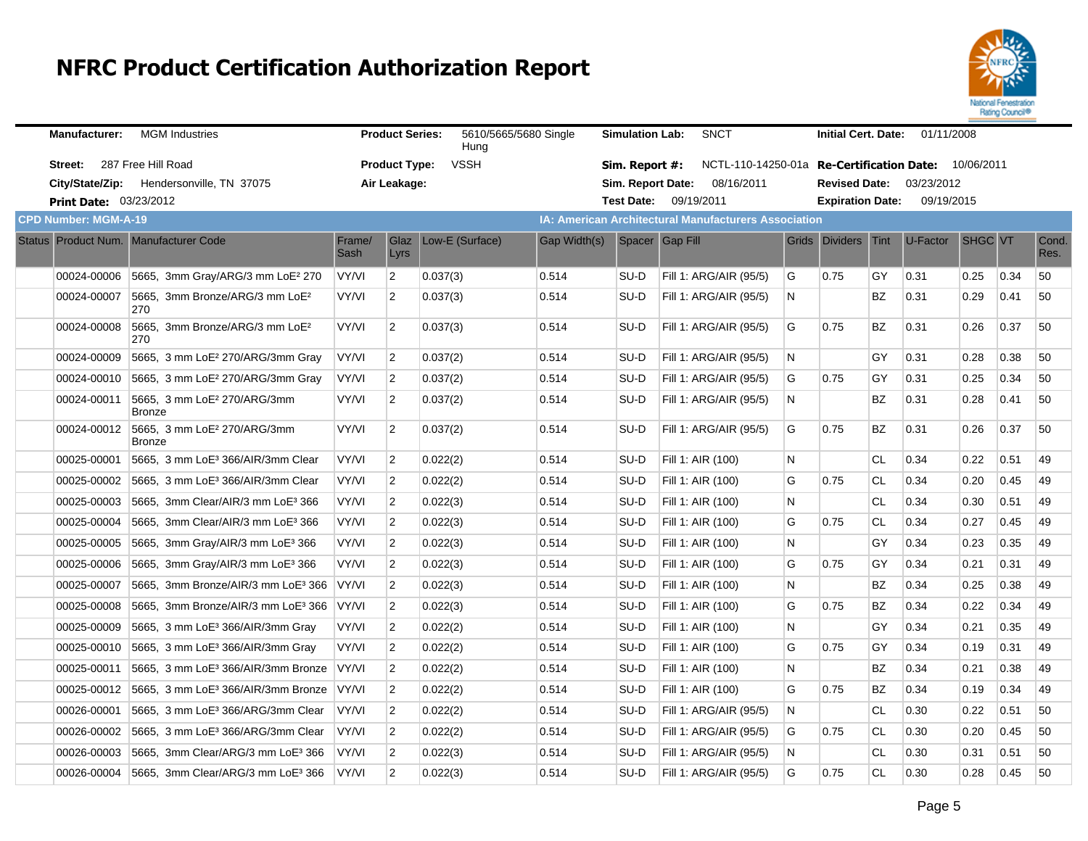

| <b>Manufacturer:</b>                  | <b>MGM</b> Industries                             |                | <b>Product Series:</b> | 5610/5665/5680 Single<br>Hung |              | <b>Simulation Lab:</b> | <b>SNCT</b>                                                 |   | <b>Initial Cert. Date:</b> |           | 01/11/2008                        |         |      |               |
|---------------------------------------|---------------------------------------------------|----------------|------------------------|-------------------------------|--------------|------------------------|-------------------------------------------------------------|---|----------------------------|-----------|-----------------------------------|---------|------|---------------|
| Street:                               | 287 Free Hill Road                                |                | <b>Product Type:</b>   | <b>VSSH</b>                   |              | Sim. Report #:         | NCTL-110-14250-01a                                          |   |                            |           | Re-Certification Date: 10/06/2011 |         |      |               |
|                                       | City/State/Zip: Hendersonville, TN 37075          |                | Air Leakage:           |                               |              | Sim. Report Date:      | 08/16/2011                                                  |   | <b>Revised Date:</b>       |           | 03/23/2012                        |         |      |               |
| <b>Print Date: 03/23/2012</b>         |                                                   |                |                        |                               |              |                        | Test Date: 09/19/2011                                       |   | <b>Expiration Date:</b>    |           | 09/19/2015                        |         |      |               |
| <b>CPD Number: MGM-A-19</b>           |                                                   |                |                        |                               |              |                        | <b>IA: American Architectural Manufacturers Association</b> |   |                            |           |                                   |         |      |               |
| Status Product Num. Manufacturer Code |                                                   | Frame/<br>Sash | Glaz<br>Lyrs           | Low-E (Surface)               | Gap Width(s) |                        | Spacer Gap Fill                                             |   | Grids Dividers             | Tint      | U-Factor                          | SHGC VT |      | Cond.<br>Res. |
| 00024-00006                           | 5665, 3mm Gray/ARG/3 mm LoE <sup>2</sup> 270      | VY/VI          | $\overline{2}$         | 0.037(3)                      | 0.514        | SU-D                   | Fill 1: ARG/AIR (95/5)                                      | G | 0.75                       | GY        | 0.31                              | 0.25    | 0.34 | 50            |
| 00024-00007                           | 5665, 3mm Bronze/ARG/3 mm LoE <sup>2</sup><br>270 | VY/VI          | $\overline{2}$         | 0.037(3)                      | 0.514        | SU-D                   | Fill 1: ARG/AIR (95/5)                                      | N |                            | BZ        | 0.31                              | 0.29    | 0.41 | 50            |
| 00024-00008                           | 5665, 3mm Bronze/ARG/3 mm LoE <sup>2</sup><br>270 | VY/VI          | $\overline{2}$         | 0.037(3)                      | 0.514        | SU-D                   | Fill 1: ARG/AIR (95/5)                                      | G | 0.75                       | BZ        | 0.31                              | 0.26    | 0.37 | 50            |
| 00024-00009                           | 5665, 3 mm LoE <sup>2</sup> 270/ARG/3mm Gray      | VY/VI          | $\overline{2}$         | 0.037(2)                      | 0.514        | SU-D                   | Fill 1: ARG/AIR (95/5)                                      | N |                            | GY        | 0.31                              | 0.28    | 0.38 | 50            |
| 00024-00010                           | 5665, 3 mm LoE <sup>2</sup> 270/ARG/3mm Gray      | VY/VI          | $\overline{2}$         | 0.037(2)                      | 0.514        | SU-D                   | Fill 1: ARG/AIR (95/5)                                      | G | 0.75                       | GY        | 0.31                              | 0.25    | 0.34 | 50            |
| 00024-00011                           | 5665, 3 mm LoE <sup>2</sup> 270/ARG/3mm<br>Bronze | VY/VI          | $\overline{2}$         | 0.037(2)                      | 0.514        | SU-D                   | Fill 1: ARG/AIR (95/5)                                      | N |                            | BZ        | 0.31                              | 0.28    | 0.41 | 50            |
| 00024-00012                           | 5665, 3 mm LoE <sup>2</sup> 270/ARG/3mm<br>Bronze | VY/VI          | $\overline{2}$         | 0.037(2)                      | 0.514        | SU-D                   | Fill 1: ARG/AIR (95/5)                                      | G | 0.75                       | BZ        | 0.31                              | 0.26    | 0.37 | 50            |
| 00025-00001                           | 5665, 3 mm LoE <sup>3</sup> 366/AIR/3mm Clear     | VY/VI          | $\overline{2}$         | 0.022(2)                      | 0.514        | SU-D                   | Fill 1: AIR (100)                                           | N |                            | <b>CL</b> | 0.34                              | 0.22    | 0.51 | 49            |
| 00025-00002                           | 5665, 3 mm LoE <sup>3</sup> 366/AIR/3mm Clear     | VY/VI          | $\overline{2}$         | 0.022(2)                      | 0.514        | SU-D                   | Fill 1: AIR (100)                                           | G | 0.75                       | <b>CL</b> | 0.34                              | 0.20    | 0.45 | 49            |
| 00025-00003                           | 5665, 3mm Clear/AIR/3 mm LoE <sup>3</sup> 366     | VY/VI          | $\overline{2}$         | 0.022(3)                      | 0.514        | SU-D                   | Fill 1: AIR (100)                                           | N |                            | <b>CL</b> | 0.34                              | 0.30    | 0.51 | 49            |
| 00025-00004                           | 5665, 3mm Clear/AIR/3 mm LoE <sup>3</sup> 366     | VY/VI          | $\overline{2}$         | 0.022(3)                      | 0.514        | SU-D                   | Fill 1: AIR (100)                                           | G | 0.75                       | <b>CL</b> | 0.34                              | 0.27    | 0.45 | 49            |
| 00025-00005                           | 5665, 3mm Gray/AIR/3 mm LoE <sup>3</sup> 366      | VY/VI          | $\overline{2}$         | 0.022(3)                      | 0.514        | SU-D                   | Fill 1: AIR (100)                                           | N |                            | GY        | 0.34                              | 0.23    | 0.35 | 49            |
| 00025-00006                           | 5665, 3mm Gray/AIR/3 mm LoE <sup>3</sup> 366      | VY/VI          | 2                      | 0.022(3)                      | 0.514        | SU-D                   | Fill 1: AIR (100)                                           | G | 0.75                       | GY        | 0.34                              | 0.21    | 0.31 | 49            |
| 00025-00007                           | 5665, 3mm Bronze/AIR/3 mm LoE3 366                | VY/VI          | $\overline{2}$         | 0.022(3)                      | 0.514        | SU-D                   | Fill 1: AIR (100)                                           | N |                            | <b>BZ</b> | 0.34                              | 0.25    | 0.38 | 49            |
| 00025-00008                           | 5665, 3mm Bronze/AIR/3 mm LoE3 366                | VY/VI          | $\overline{2}$         | 0.022(3)                      | 0.514        | SU-D                   | Fill 1: AIR (100)                                           | G | 0.75                       | BZ        | 0.34                              | 0.22    | 0.34 | 49            |
| 00025-00009                           | 5665, 3 mm LoE <sup>3</sup> 366/AIR/3mm Gray      | VY/VI          | $\overline{2}$         | 0.022(2)                      | 0.514        | SU-D                   | Fill 1: AIR (100)                                           | N |                            | GY        | 0.34                              | 0.21    | 0.35 | 49            |
| 00025-00010                           | 5665, 3 mm LoE <sup>3</sup> 366/AIR/3mm Gray      | VY/VI          | $\overline{2}$         | 0.022(2)                      | 0.514        | SU-D                   | Fill 1: AIR (100)                                           | G | 0.75                       | GY        | 0.34                              | 0.19    | 0.31 | 49            |
| 00025-00011                           | 5665, 3 mm LoE <sup>3</sup> 366/AIR/3mm Bronze    | VY/VI          | $\overline{2}$         | 0.022(2)                      | 0.514        | SU-D                   | Fill 1: AIR (100)                                           | N |                            | BZ        | 0.34                              | 0.21    | 0.38 | 49            |
| 00025-00012                           | 5665, 3 mm LoE <sup>3</sup> 366/AIR/3mm Bronze    | VY/VI          | $\overline{2}$         | 0.022(2)                      | 0.514        | SU-D                   | Fill 1: AIR (100)                                           | G | 0.75                       | <b>BZ</b> | 0.34                              | 0.19    | 0.34 | 49            |
| 00026-00001                           | 5665, 3 mm LoE <sup>3</sup> 366/ARG/3mm Clear     | VY/VI          | 2                      | 0.022(2)                      | 0.514        | SU-D                   | Fill 1: ARG/AIR (95/5)                                      | N |                            | CL.       | 0.30                              | 0.22    | 0.51 | 50            |
| 00026-00002                           | 5665. 3 mm LoE <sup>3</sup> 366/ARG/3mm Clear     | VY/VI          | $\overline{2}$         | 0.022(2)                      | 0.514        | SU-D                   | Fill 1: ARG/AIR (95/5)                                      | G | 0.75                       | <b>CL</b> | 0.30                              | 0.20    | 0.45 | 50            |
| 00026-00003                           | 5665, 3mm Clear/ARG/3 mm LoE <sup>3</sup> 366     | VY/VI          | $\overline{2}$         | 0.022(3)                      | 0.514        | SU-D                   | Fill 1: ARG/AIR (95/5)                                      | N |                            | <b>CL</b> | 0.30                              | 0.31    | 0.51 | 50            |
| 00026-00004                           | 5665, 3mm Clear/ARG/3 mm LoE <sup>3</sup> 366     | VY/VI          | $\overline{2}$         | 0.022(3)                      | 0.514        | SU-D                   | Fill 1: ARG/AIR (95/5)                                      | G | 0.75                       | CL        | 0.30                              | 0.28    | 0.45 | 50            |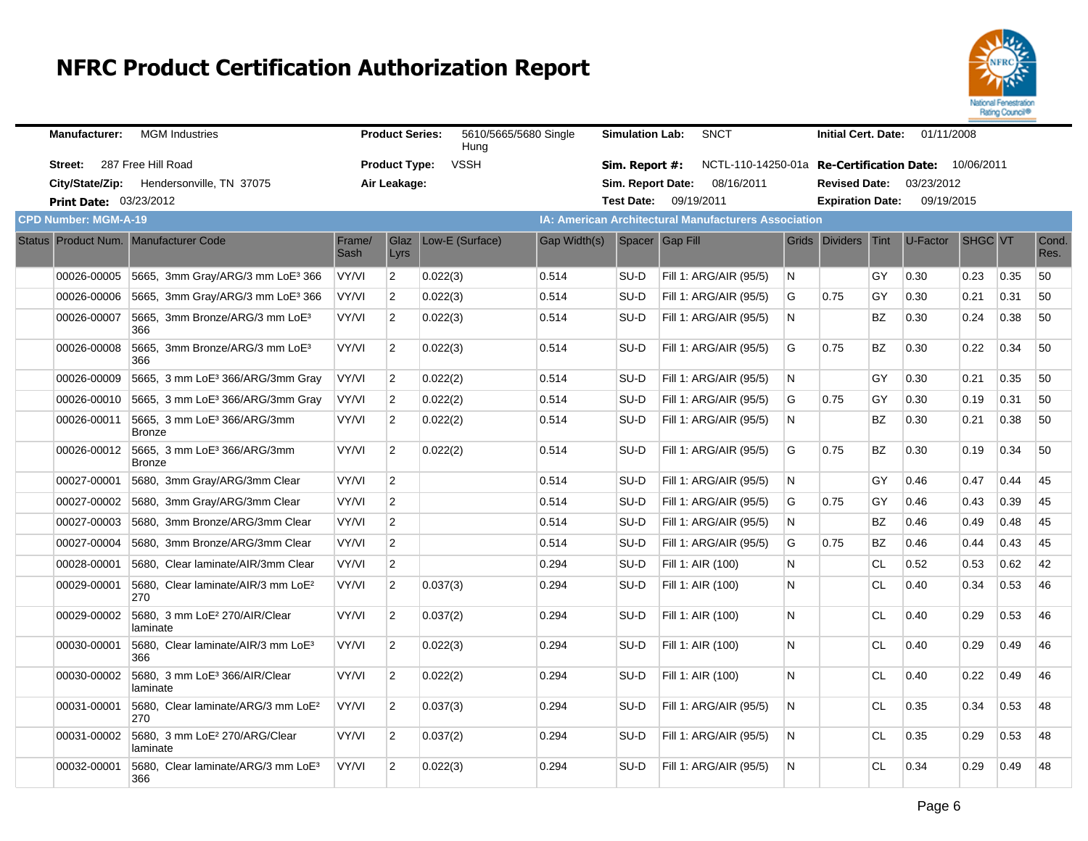

| <b>Manufacturer:</b>          | <b>MGM</b> Industries                                    |                | <b>Product Series:</b> | 5610/5665/5680 Single<br>Hung |              | <b>Simulation Lab:</b> | <b>SNCT</b>                                          |              | <b>Initial Cert. Date:</b> |           | 01/11/2008                        |         |      |               |
|-------------------------------|----------------------------------------------------------|----------------|------------------------|-------------------------------|--------------|------------------------|------------------------------------------------------|--------------|----------------------------|-----------|-----------------------------------|---------|------|---------------|
| Street: 287 Free Hill Road    |                                                          |                | <b>Product Type:</b>   | <b>VSSH</b>                   |              | Sim. Report #:         | NCTL-110-14250-01a                                   |              |                            |           | Re-Certification Date: 10/06/2011 |         |      |               |
|                               | City/State/Zip: Hendersonville, TN 37075                 |                | Air Leakage:           |                               |              | Sim. Report Date:      | 08/16/2011                                           |              | <b>Revised Date:</b>       |           | 03/23/2012                        |         |      |               |
| <b>Print Date: 03/23/2012</b> |                                                          |                |                        |                               |              |                        | Test Date: 09/19/2011                                |              | <b>Expiration Date:</b>    |           | 09/19/2015                        |         |      |               |
| <b>CPD Number: MGM-A-19</b>   |                                                          |                |                        |                               |              |                        | IA: American Architectural Manufacturers Association |              |                            |           |                                   |         |      |               |
|                               | Status Product Num. Manufacturer Code                    | Frame/<br>Sash | Glaz<br>Lyrs           | Low-E (Surface)               | Gap Width(s) |                        | Spacer Gap Fill                                      |              | Grids Dividers             | Tint      | U-Factor                          | SHGC VT |      | Cond.<br>Res. |
| 00026-00005                   | 5665, 3mm Gray/ARG/3 mm LoE $3\,366$                     | VY/VI          | $\overline{2}$         | 0.022(3)                      | 0.514        | SU-D                   | Fill 1: ARG/AIR (95/5)                               | N            |                            | GY        | 0.30                              | 0.23    | 0.35 | 50            |
| 00026-00006                   | 5665, 3mm Gray/ARG/3 mm LoE3 366                         | VY/VI          | $\overline{2}$         | 0.022(3)                      | 0.514        | SU-D                   | Fill 1: ARG/AIR (95/5)                               | G            | 0.75                       | GY        | 0.30                              | 0.21    | 0.31 | 50            |
| 00026-00007                   | 5665, 3mm Bronze/ARG/3 mm LoE <sup>3</sup><br>366        | VY/VI          | $\overline{2}$         | 0.022(3)                      | 0.514        | SU-D                   | Fill 1: ARG/AIR (95/5)                               | N            |                            | ΒZ        | 0.30                              | 0.24    | 0.38 | 50            |
| 00026-00008                   | 5665, 3mm Bronze/ARG/3 mm LoE <sup>3</sup><br>366        | VY/VI          | $\overline{2}$         | 0.022(3)                      | 0.514        | SU-D                   | Fill 1: ARG/AIR (95/5)                               | G            | 0.75                       | BZ        | 0.30                              | 0.22    | 0.34 | 50            |
| 00026-00009                   | 5665, 3 mm LoE <sup>3</sup> 366/ARG/3mm Gray             | VY/VI          | $\overline{2}$         | 0.022(2)                      | 0.514        | SU-D                   | Fill 1: ARG/AIR (95/5)                               | <sup>N</sup> |                            | GY        | 0.30                              | 0.21    | 0.35 | 50            |
| 00026-00010                   | 5665, 3 mm LoE <sup>3</sup> 366/ARG/3mm Gray             | VY/VI          | $\overline{2}$         | 0.022(2)                      | 0.514        | SU-D                   | Fill 1: ARG/AIR (95/5)                               | G            | 0.75                       | GY        | 0.30                              | 0.19    | 0.31 | 50            |
| 00026-00011                   | 5665, 3 mm LoE <sup>3</sup> 366/ARG/3mm<br><b>Bronze</b> | VY/VI          | $\overline{2}$         | 0.022(2)                      | 0.514        | SU-D                   | Fill 1: ARG/AIR (95/5)                               | N            |                            | <b>BZ</b> | 0.30                              | 0.21    | 0.38 | 50            |
| 00026-00012                   | 5665, 3 mm LoE <sup>3</sup> 366/ARG/3mm<br>Bronze        | VY/VI          | $\overline{2}$         | 0.022(2)                      | 0.514        | SU-D                   | Fill 1: ARG/AIR (95/5)                               | G            | 0.75                       | ΒZ        | 0.30                              | 0.19    | 0.34 | 50            |
| 00027-00001                   | 5680, 3mm Gray/ARG/3mm Clear                             | VY/VI          | $\overline{2}$         |                               | 0.514        | SU-D                   | Fill 1: ARG/AIR (95/5)                               | N.           |                            | GY        | 0.46                              | 0.47    | 0.44 | 45            |
| 00027-00002                   | 5680, 3mm Gray/ARG/3mm Clear                             | VY/VI          | $\overline{2}$         |                               | 0.514        | SU-D                   | Fill 1: ARG/AIR (95/5)                               | G            | 0.75                       | GY        | 0.46                              | 0.43    | 0.39 | 45            |
| 00027-00003                   | 5680. 3mm Bronze/ARG/3mm Clear                           | VY/VI          | $\overline{c}$         |                               | 0.514        | SU-D                   | Fill 1: ARG/AIR (95/5)                               | N.           |                            | <b>BZ</b> | 0.46                              | 0.49    | 0.48 | 45            |
| 00027-00004                   | 5680, 3mm Bronze/ARG/3mm Clear                           | VY/VI          | $\overline{c}$         |                               | 0.514        | SU-D                   | Fill 1: ARG/AIR (95/5)                               | G            | 0.75                       | ΒZ        | 0.46                              | 0.44    | 0.43 | 45            |
| 00028-00001                   | 5680. Clear laminate/AIR/3mm Clear                       | VY/VI          | $\boldsymbol{2}$       |                               | 0.294        | SU-D                   | Fill 1: AIR (100)                                    | N            |                            | <b>CL</b> | 0.52                              | 0.53    | 0.62 | 42            |
| 00029-00001                   | 5680, Clear laminate/AIR/3 mm LoE <sup>2</sup><br>270    | VY/VI          | $\overline{2}$         | 0.037(3)                      | 0.294        | SU-D                   | Fill 1: AIR (100)                                    | N.           |                            | CL.       | 0.40                              | 0.34    | 0.53 | 46            |
| 00029-00002                   | 5680, 3 mm LoE <sup>2</sup> 270/AIR/Clear<br>laminate    | VY/VI          | $\overline{2}$         | 0.037(2)                      | 0.294        | SU-D                   | Fill 1: AIR (100)                                    | N            |                            | <b>CL</b> | 0.40                              | 0.29    | 0.53 | 46            |
| 00030-00001                   | 5680, Clear laminate/AIR/3 mm LoE <sup>3</sup><br>366    | VY/VI          | $\overline{2}$         | 0.022(3)                      | 0.294        | SU-D                   | Fill 1: AIR (100)                                    | N.           |                            | <b>CL</b> | 0.40                              | 0.29    | 0.49 | 46            |
| 00030-00002                   | 5680, 3 mm LoE <sup>3</sup> 366/AIR/Clear<br>laminate    | VY/VI          | $\overline{2}$         | 0.022(2)                      | 0.294        | SU-D                   | Fill 1: AIR (100)                                    | N            |                            | <b>CL</b> | 0.40                              | 0.22    | 0.49 | 46            |
| 00031-00001                   | 5680, Clear laminate/ARG/3 mm LoE <sup>2</sup><br>270    | VY/VI          | $\overline{2}$         | 0.037(3)                      | 0.294        | SU-D                   | Fill 1: ARG/AIR (95/5)                               | N            |                            | <b>CL</b> | 0.35                              | 0.34    | 0.53 | 48            |
| 00031-00002                   | 5680, 3 mm LoE <sup>2</sup> 270/ARG/Clear<br>laminate    | VY/VI          | $\overline{2}$         | 0.037(2)                      | 0.294        | SU-D                   | Fill 1: ARG/AIR (95/5)                               | N            |                            | CL        | 0.35                              | 0.29    | 0.53 | 48            |
| 00032-00001                   | 5680, Clear laminate/ARG/3 mm LoE <sup>3</sup><br>366    | VY/VI          | $\overline{2}$         | 0.022(3)                      | 0.294        | SU-D                   | Fill 1: ARG/AIR (95/5)                               | N            |                            | CL.       | 0.34                              | 0.29    | 0.49 | 48            |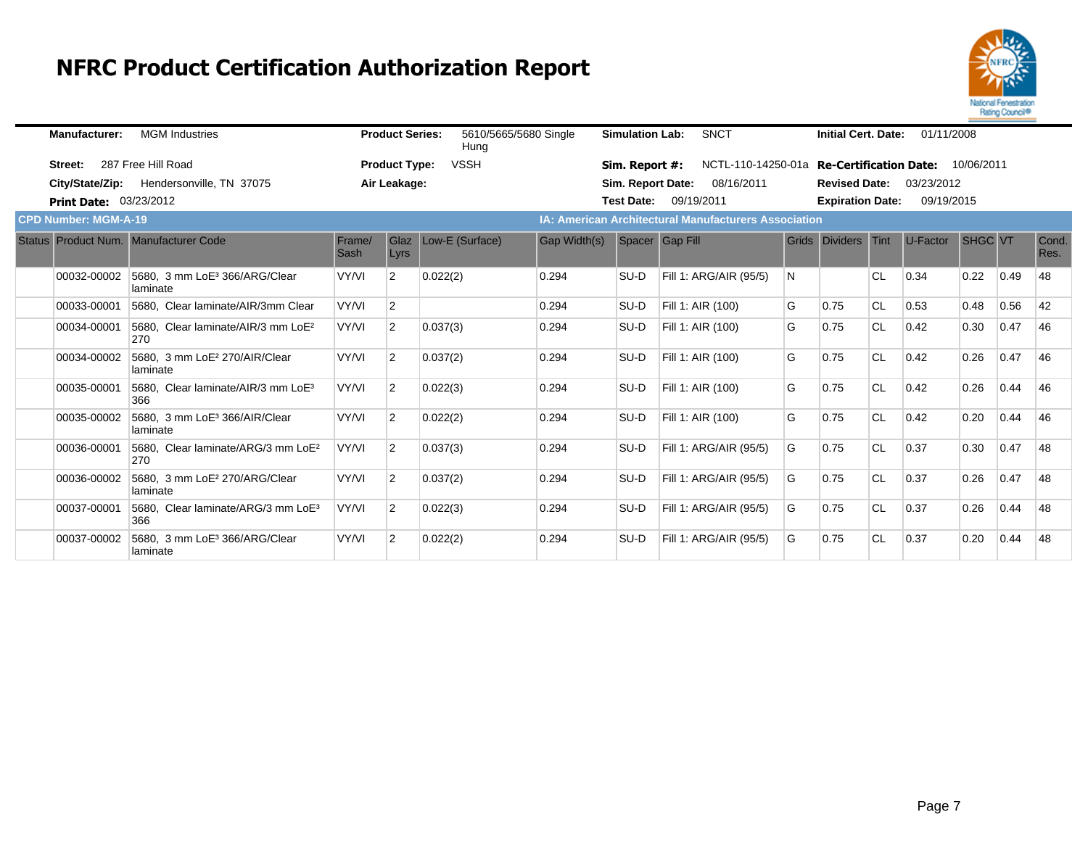

| <b>Manufacturer:</b>        | <b>MGM</b> Industries                                 |                | <b>Product Series:</b> | 5610/5665/5680 Single<br>Hung |                     | <b>Simulation Lab:</b> | <b>SNCT</b>                                                 |   | <b>Initial Cert. Date:</b> |           | 01/11/2008 |                |      |               |
|-----------------------------|-------------------------------------------------------|----------------|------------------------|-------------------------------|---------------------|------------------------|-------------------------------------------------------------|---|----------------------------|-----------|------------|----------------|------|---------------|
| Street:                     | 287 Free Hill Road                                    |                | <b>Product Type:</b>   | <b>VSSH</b>                   |                     | Sim. Report #:         | NCTL-110-14250-01a Re-Certification Date: 10/06/2011        |   |                            |           |            |                |      |               |
|                             | City/State/Zip: Hendersonville, TN 37075              |                | Air Leakage:           |                               |                     | Sim. Report Date:      | 08/16/2011                                                  |   | <b>Revised Date:</b>       |           | 03/23/2012 |                |      |               |
| Print Date: 03/23/2012      |                                                       |                |                        |                               |                     | <b>Test Date:</b>      | 09/19/2011                                                  |   | <b>Expiration Date:</b>    |           | 09/19/2015 |                |      |               |
| <b>CPD Number: MGM-A-19</b> |                                                       |                |                        |                               |                     |                        | <b>IA: American Architectural Manufacturers Association</b> |   |                            |           |            |                |      |               |
|                             | Status Product Num. Manufacturer Code                 | Frame/<br>Sash | Glaz<br>Lyrs           | Low-E (Surface)               | <b>Gap Width(s)</b> |                        | Spacer Gap Fill                                             |   | Grids Dividers Tint        |           | U-Factor   | <b>SHGC VT</b> |      | Cond.<br>Res. |
| 00032-00002                 | 5680, 3 mm LoE <sup>3</sup> 366/ARG/Clear<br>laminate | VY/VI          | $\overline{2}$         | 0.022(2)                      | 0.294               | SU-D                   | Fill 1: ARG/AIR (95/5)                                      | N |                            | ∣CL       | 0.34       | 0.22           | 0.49 | 48            |
| 00033-00001                 | 5680, Clear laminate/AIR/3mm Clear                    | VY/VI          | $\overline{2}$         |                               | 0.294               | SU-D                   | Fill 1: AIR (100)                                           | G | 0.75                       | <b>CL</b> | 0.53       | 0.48           | 0.56 | 42            |
| 00034-00001                 | 5680, Clear laminate/AIR/3 mm LoE <sup>2</sup><br>270 | VY/VI          | 2                      | 0.037(3)                      | 0.294               | SU-D                   | Fill 1: AIR (100)                                           | G | 0.75                       | <b>CL</b> | 0.42       | 0.30           | 0.47 | 46            |
| 00034-00002                 | 5680, 3 mm LoE <sup>2</sup> 270/AIR/Clear<br>laminate | VY/VI          | 2                      | 0.037(2)                      | 0.294               | SU-D                   | Fill 1: AIR (100)                                           | G | 0.75                       | <b>CL</b> | 0.42       | 0.26           | 0.47 | 46            |
| 00035-00001                 | 5680, Clear laminate/AIR/3 mm LoE <sup>3</sup><br>366 | VY/VI          | $\overline{2}$         | 0.022(3)                      | 0.294               | SU-D                   | Fill 1: AIR (100)                                           | G | 0.75                       | <b>CL</b> | 0.42       | 0.26           | 0.44 | 46            |
| 00035-00002                 | 5680, 3 mm LoE <sup>3</sup> 366/AIR/Clear<br>laminate | VY/VI          | 2                      | 0.022(2)                      | 0.294               | SU-D                   | Fill 1: AIR (100)                                           | G | 0.75                       | <b>CL</b> | 0.42       | 0.20           | 0.44 | 46            |
| 00036-00001                 | 5680. Clear laminate/ARG/3 mm LoE <sup>2</sup><br>270 | VY/VI          | $\overline{2}$         | 0.037(3)                      | 0.294               | SU-D                   | Fill 1: ARG/AIR (95/5)                                      | G | 0.75                       | <b>CL</b> | 0.37       | 0.30           | 0.47 | 48            |
| 00036-00002                 | 5680, 3 mm LoE <sup>2</sup> 270/ARG/Clear<br>laminate | VY/VI          | $\overline{2}$         | 0.037(2)                      | 0.294               | SU-D                   | Fill 1: ARG/AIR (95/5)                                      | G | 0.75                       | <b>CL</b> | 0.37       | 0.26           | 0.47 | 48            |
| 00037-00001                 | 5680, Clear laminate/ARG/3 mm LoE <sup>3</sup><br>366 | VY/VI          | 2                      | 0.022(3)                      | 0.294               | SU-D                   | Fill 1: ARG/AIR (95/5)                                      | G | 0.75                       | <b>CL</b> | 0.37       | 0.26           | 0.44 | 48            |
| 00037-00002                 | 5680, 3 mm LoE <sup>3</sup> 366/ARG/Clear<br>laminate | VY/VI          | $\overline{2}$         | 0.022(2)                      | 0.294               | SU-D                   | Fill 1: ARG/AIR (95/5)                                      | G | 0.75                       | <b>CL</b> | 0.37       | 0.20           | 0.44 | 48            |